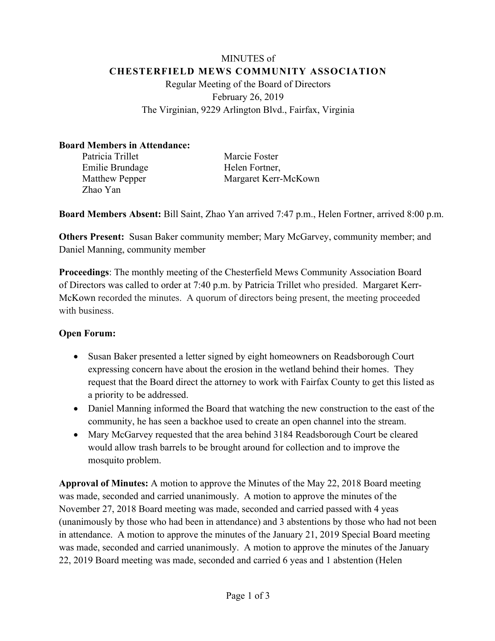# MINUTES of **CHESTERFIELD MEWS COMMUNITY ASSOCIATION** Regular Meeting of the Board of Directors February 26, 2019 The Virginian, 9229 Arlington Blvd., Fairfax, Virginia

#### **Board Members in Attendance:**

| Patricia Trillet      |
|-----------------------|
| Emilie Brundage       |
| <b>Matthew Pepper</b> |
| Zhao Yan              |

Marcie Foster Helen Fortner, Margaret Kerr-McKown

**Board Members Absent:** Bill Saint, Zhao Yan arrived 7:47 p.m., Helen Fortner, arrived 8:00 p.m.

**Others Present:** Susan Baker community member; Mary McGarvey, community member; and Daniel Manning, community member

**Proceedings**: The monthly meeting of the Chesterfield Mews Community Association Board of Directors was called to order at 7:40 p.m. by Patricia Trillet who presided. Margaret Kerr-McKown recorded the minutes. A quorum of directors being present, the meeting proceeded with business.

# **Open Forum:**

- Susan Baker presented a letter signed by eight homeowners on Readsborough Court expressing concern have about the erosion in the wetland behind their homes. They request that the Board direct the attorney to work with Fairfax County to get this listed as a priority to be addressed.
- Daniel Manning informed the Board that watching the new construction to the east of the community, he has seen a backhoe used to create an open channel into the stream.
- Mary McGarvey requested that the area behind 3184 Readsborough Court be cleared would allow trash barrels to be brought around for collection and to improve the mosquito problem.

**Approval of Minutes:** A motion to approve the Minutes of the May 22, 2018 Board meeting was made, seconded and carried unanimously. A motion to approve the minutes of the November 27, 2018 Board meeting was made, seconded and carried passed with 4 yeas (unanimously by those who had been in attendance) and 3 abstentions by those who had not been in attendance. A motion to approve the minutes of the January 21, 2019 Special Board meeting was made, seconded and carried unanimously. A motion to approve the minutes of the January 22, 2019 Board meeting was made, seconded and carried 6 yeas and 1 abstention (Helen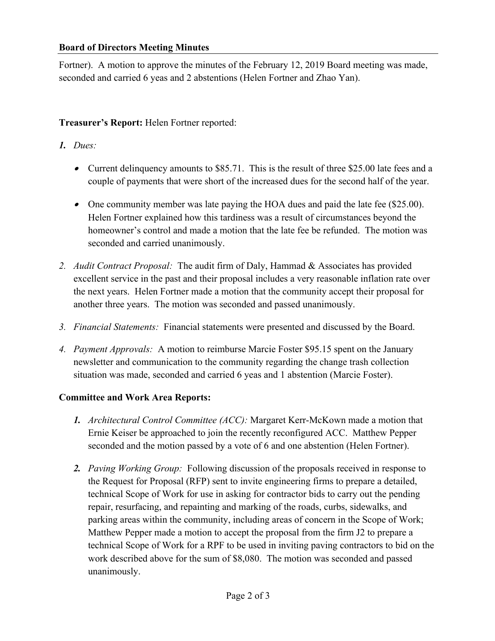#### **Board of Directors Meeting Minutes**

Fortner). A motion to approve the minutes of the February 12, 2019 Board meeting was made, seconded and carried 6 yeas and 2 abstentions (Helen Fortner and Zhao Yan).

# **Treasurer's Report:** Helen Fortner reported:

# *1. Dues:*

- Current delinquency amounts to \$85.71. This is the result of three \$25.00 late fees and a couple of payments that were short of the increased dues for the second half of the year.
- One community member was late paying the HOA dues and paid the late fee (\$25.00). Helen Fortner explained how this tardiness was a result of circumstances beyond the homeowner's control and made a motion that the late fee be refunded. The motion was seconded and carried unanimously.
- *2. Audit Contract Proposal:* The audit firm of Daly, Hammad & Associates has provided excellent service in the past and their proposal includes a very reasonable inflation rate over the next years. Helen Fortner made a motion that the community accept their proposal for another three years. The motion was seconded and passed unanimously.
- *3. Financial Statements:* Financial statements were presented and discussed by the Board.
- *4. Payment Approvals:* A motion to reimburse Marcie Foster \$95.15 spent on the January newsletter and communication to the community regarding the change trash collection situation was made, seconded and carried 6 yeas and 1 abstention (Marcie Foster).

# **Committee and Work Area Reports:**

- *1. Architectural Control Committee (ACC):* Margaret Kerr-McKown made a motion that Ernie Keiser be approached to join the recently reconfigured ACC. Matthew Pepper seconded and the motion passed by a vote of 6 and one abstention (Helen Fortner).
- *2. Paving Working Group:* Following discussion of the proposals received in response to the Request for Proposal (RFP) sent to invite engineering firms to prepare a detailed, technical Scope of Work for use in asking for contractor bids to carry out the pending repair, resurfacing, and repainting and marking of the roads, curbs, sidewalks, and parking areas within the community, including areas of concern in the Scope of Work; Matthew Pepper made a motion to accept the proposal from the firm J2 to prepare a technical Scope of Work for a RPF to be used in inviting paving contractors to bid on the work described above for the sum of \$8,080. The motion was seconded and passed unanimously.